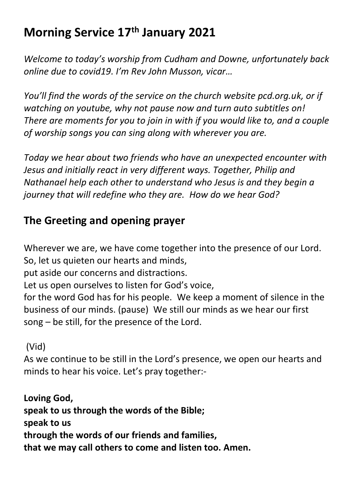# **Morning Service 17th January 2021**

*Welcome to today's worship from Cudham and Downe, unfortunately back online due to covid19. I'm Rev John Musson, vicar…*

*You'll find the words of the service on the church website pcd.org.uk, or if watching on youtube, why not pause now and turn auto subtitles on! There are moments for you to join in with if you would like to, and a couple of worship songs you can sing along with wherever you are.*

*Today we hear about two friends who have an unexpected encounter with Jesus and initially react in very different ways. Together, Philip and Nathanael help each other to understand who Jesus is and they begin a journey that will redefine who they are. How do we hear God?*

### **The Greeting and opening prayer**

Wherever we are, we have come together into the presence of our Lord. So, let us quieten our hearts and minds,

put aside our concerns and distractions.

Let us open ourselves to listen for God's voice,

for the word God has for his people. We keep a moment of silence in the business of our minds. (pause) We still our minds as we hear our first song – be still, for the presence of the Lord.

(Vid)

As we continue to be still in the Lord's presence, we open our hearts and minds to hear his voice. Let's pray together:-

**Loving God, speak to us through the words of the Bible; speak to us through the words of our friends and families, that we may call others to come and listen too. Amen.**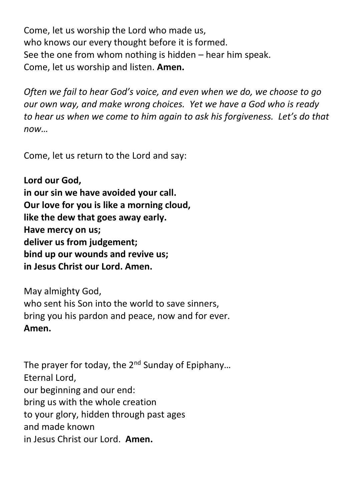Come, let us worship the Lord who made us, who knows our every thought before it is formed. See the one from whom nothing is hidden – hear him speak. Come, let us worship and listen. **Amen.**

*Often we fail to hear God's voice, and even when we do, we choose to go our own way, and make wrong choices. Yet we have a God who is ready to hear us when we come to him again to ask his forgiveness. Let's do that now…* 

Come, let us return to the Lord and say:

**Lord our God, in our sin we have avoided your call. Our love for you is like a morning cloud, like the dew that goes away early. Have mercy on us; deliver us from judgement; bind up our wounds and revive us; in Jesus Christ our Lord. Amen.**

May almighty God, who sent his Son into the world to save sinners. bring you his pardon and peace, now and for ever. **Amen.**

The prayer for today, the 2<sup>nd</sup> Sunday of Epiphany... Eternal Lord, our beginning and our end: bring us with the whole creation to your glory, hidden through past ages and made known in Jesus Christ our Lord. **Amen.**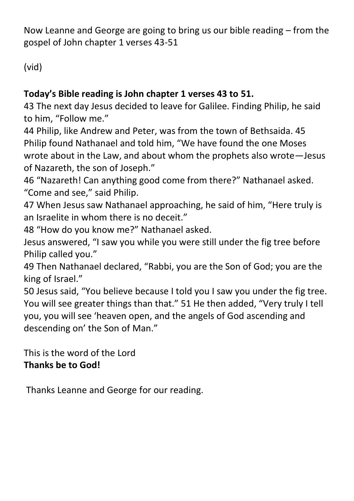Now Leanne and George are going to bring us our bible reading – from the gospel of John chapter 1 verses 43-51

(vid)

#### **Today's Bible reading is John chapter 1 verses 43 to 51.**

43 The next day Jesus decided to leave for Galilee. Finding Philip, he said to him, "Follow me."

44 Philip, like Andrew and Peter, was from the town of Bethsaida. 45 Philip found Nathanael and told him, "We have found the one Moses wrote about in the Law, and about whom the prophets also wrote—Jesus of Nazareth, the son of Joseph."

46 "Nazareth! Can anything good come from there?" Nathanael asked. "Come and see," said Philip.

47 When Jesus saw Nathanael approaching, he said of him, "Here truly is an Israelite in whom there is no deceit."

48 "How do you know me?" Nathanael asked.

Jesus answered, "I saw you while you were still under the fig tree before Philip called you."

49 Then Nathanael declared, "Rabbi, you are the Son of God; you are the king of Israel."

50 Jesus said, "You believe because I told you I saw you under the fig tree. You will see greater things than that." 51 He then added, "Very truly I tell you, you will see 'heaven open, and the angels of God ascending and descending on' the Son of Man."

This is the word of the Lord **Thanks be to God!**

Thanks Leanne and George for our reading.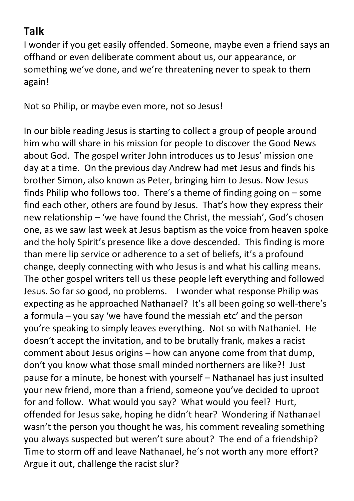## **Talk**

I wonder if you get easily offended. Someone, maybe even a friend says an offhand or even deliberate comment about us, our appearance, or something we've done, and we're threatening never to speak to them again!

Not so Philip, or maybe even more, not so Jesus!

In our bible reading Jesus is starting to collect a group of people around him who will share in his mission for people to discover the Good News about God. The gospel writer John introduces us to Jesus' mission one day at a time. On the previous day Andrew had met Jesus and finds his brother Simon, also known as Peter, bringing him to Jesus. Now Jesus finds Philip who follows too. There's a theme of finding going on – some find each other, others are found by Jesus. That's how they express their new relationship – 'we have found the Christ, the messiah', God's chosen one, as we saw last week at Jesus baptism as the voice from heaven spoke and the holy Spirit's presence like a dove descended. This finding is more than mere lip service or adherence to a set of beliefs, it's a profound change, deeply connecting with who Jesus is and what his calling means. The other gospel writers tell us these people left everything and followed Jesus. So far so good, no problems. I wonder what response Philip was expecting as he approached Nathanael? It's all been going so well-there's a formula – you say 'we have found the messiah etc' and the person you're speaking to simply leaves everything. Not so with Nathaniel. He doesn't accept the invitation, and to be brutally frank, makes a racist comment about Jesus origins – how can anyone come from that dump, don't you know what those small minded northerners are like?! Just pause for a minute, be honest with yourself – Nathanael has just insulted your new friend, more than a friend, someone you've decided to uproot for and follow. What would you say? What would you feel? Hurt, offended for Jesus sake, hoping he didn't hear? Wondering if Nathanael wasn't the person you thought he was, his comment revealing something you always suspected but weren't sure about? The end of a friendship? Time to storm off and leave Nathanael, he's not worth any more effort? Argue it out, challenge the racist slur?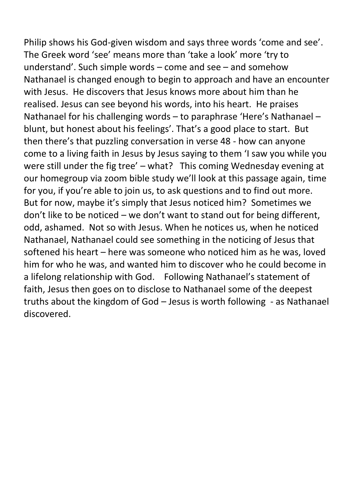Philip shows his God-given wisdom and says three words 'come and see'. The Greek word 'see' means more than 'take a look' more 'try to understand'. Such simple words – come and see – and somehow Nathanael is changed enough to begin to approach and have an encounter with Jesus. He discovers that Jesus knows more about him than he realised. Jesus can see beyond his words, into his heart. He praises Nathanael for his challenging words – to paraphrase 'Here's Nathanael – blunt, but honest about his feelings'. That's a good place to start. But then there's that puzzling conversation in verse 48 - how can anyone come to a living faith in Jesus by Jesus saying to them 'I saw you while you were still under the fig tree' – what? This coming Wednesday evening at our homegroup via zoom bible study we'll look at this passage again, time for you, if you're able to join us, to ask questions and to find out more. But for now, maybe it's simply that Jesus noticed him? Sometimes we don't like to be noticed – we don't want to stand out for being different, odd, ashamed. Not so with Jesus. When he notices us, when he noticed Nathanael, Nathanael could see something in the noticing of Jesus that softened his heart – here was someone who noticed him as he was, loved him for who he was, and wanted him to discover who he could become in a lifelong relationship with God. Following Nathanael's statement of faith, Jesus then goes on to disclose to Nathanael some of the deepest truths about the kingdom of God – Jesus is worth following - as Nathanael discovered.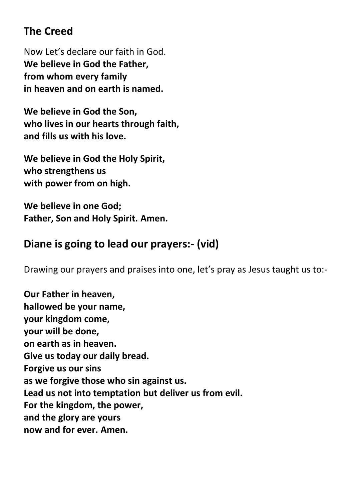## **The Creed**

Now Let's declare our faith in God. **We believe in God the Father, from whom every family in heaven and on earth is named.**

**We believe in God the Son, who lives in our hearts through faith, and fills us with his love.**

**We believe in God the Holy Spirit, who strengthens us with power from on high.**

**We believe in one God; Father, Son and Holy Spirit. Amen.**

#### **Diane is going to lead our prayers:- (vid)**

Drawing our prayers and praises into one, let's pray as Jesus taught us to:-

**Our Father in heaven, hallowed be your name, your kingdom come, your will be done, on earth as in heaven. Give us today our daily bread. Forgive us our sins as we forgive those who sin against us. Lead us not into temptation but deliver us from evil. For the kingdom, the power, and the glory are yours now and for ever. Amen.**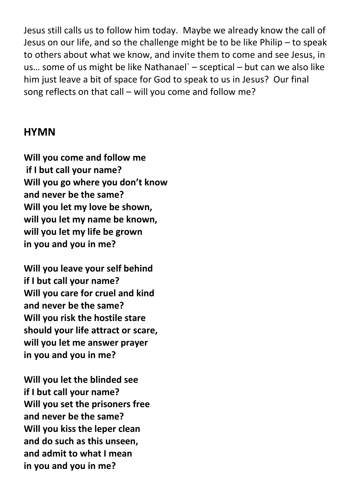Jesus still calls us to follow him today. Maybe we already know the call of Jesus on our life, and so the challenge might be to be like Philip – to speak to others about what we know, and invite them to come and see Jesus, in us… some of us might be like Nathanael` – sceptical – but can we also like him just leave a bit of space for God to speak to us in Jesus? Our final song reflects on that call – will you come and follow me?

#### **HYMN**

**Will you come and follow me if I but call your name? Will you go where you don't know and never be the same? Will you let my love be shown, will you let my name be known, will you let my life be grown in you and you in me?**

**Will you leave your self behind if I but call your name? Will you care for cruel and kind and never be the same? Will you risk the hostile stare should your life attract or scare, will you let me answer prayer in you and you in me?**

**Will you let the blinded see if I but call your name? Will you set the prisoners free and never be the same? Will you kiss the leper clean and do such as this unseen, and admit to what I mean in you and you in me?**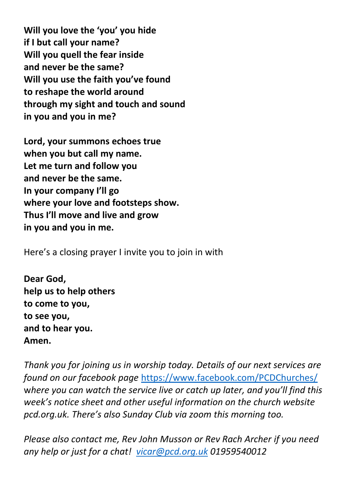**Will you love the 'you' you hide if I but call your name? Will you quell the fear inside and never be the same? Will you use the faith you've found to reshape the world around through my sight and touch and sound in you and you in me?**

**Lord, your summons echoes true when you but call my name. Let me turn and follow you and never be the same. In your company I'll go where your love and footsteps show. Thus I'll move and live and grow in you and you in me.** 

Here's a closing prayer I invite you to join in with

**Dear God, help us to help others to come to you, to see you, and to hear you. Amen.**

*Thank you for joining us in worship today. Details of our next services are found on our facebook page* <https://www.facebook.com/PCDChurches/> w*here you can watch the service live or catch up later, and you'll find this week's notice sheet and other useful information on the church website pcd.org.uk. There's also Sunday Club via zoom this morning too.*

*Please also contact me, Rev John Musson or Rev Rach Archer if you need any help or just for a chat! [vicar@pcd.org.uk](mailto:vicar@pcd.org.uk) 01959540012*